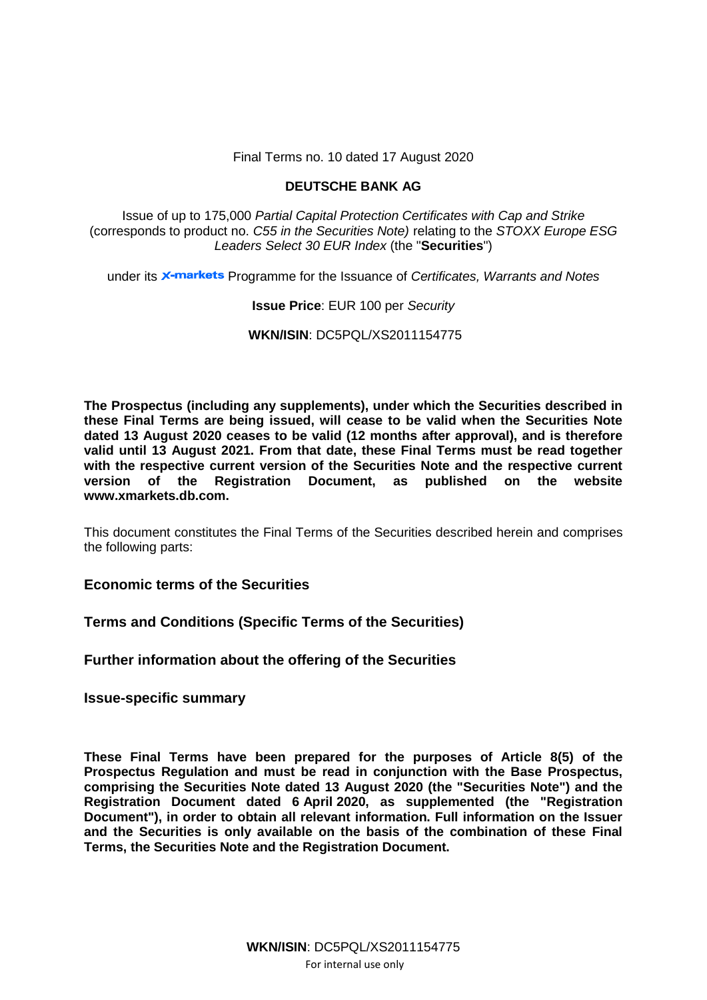Final Terms no. 10 dated 17 August 2020

# **DEUTSCHE BANK AG**

Issue of up to 175,000 *Partial Capital Protection Certificates with Cap and Strike* (corresponds to product no. *C55 in the Securities Note)* relating to the *STOXX Europe ESG Leaders Select 30 EUR Index* (the "**Securities**")

under its **X-markets** Programme for the Issuance of *Certificates, Warrants and Notes* 

# **Issue Price**: EUR 100 per *Security*

**WKN/ISIN**: DC5PQL/XS2011154775

**The Prospectus (including any supplements), under which the Securities described in these Final Terms are being issued, will cease to be valid when the Securities Note dated 13 August 2020 ceases to be valid (12 months after approval), and is therefore valid until 13 August 2021. From that date, these Final Terms must be read together with the respective current version of the Securities Note and the respective current version of the Registration Document, as published on the website www.xmarkets.db.com.**

This document constitutes the Final Terms of the Securities described herein and comprises the following parts:

**Economic terms of the Securities**

**Terms and Conditions (Specific Terms of the Securities)**

**Further information about the offering of the Securities**

**Issue-specific summary**

**These Final Terms have been prepared for the purposes of Article 8(5) of the Prospectus Regulation and must be read in conjunction with the Base Prospectus, comprising the Securities Note dated 13 August 2020 (the "Securities Note") and the Registration Document dated 6 April 2020, as supplemented (the "Registration Document"), in order to obtain all relevant information. Full information on the Issuer and the Securities is only available on the basis of the combination of these Final Terms, the Securities Note and the Registration Document.**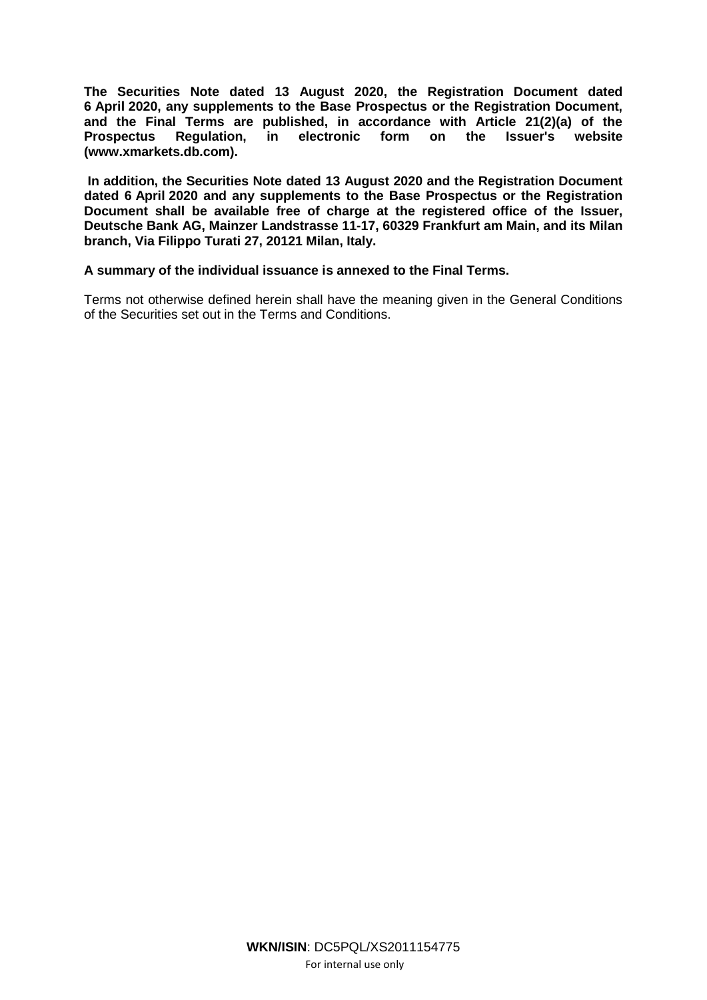**The Securities Note dated 13 August 2020, the Registration Document dated 6 April 2020, any supplements to the Base Prospectus or the Registration Document, and the Final Terms are published, in accordance with Article 21(2)(a) of the Prospectus Regulation, in electronic form on the Issuer's website [\(www.xmarkets.db.com\)](http://www.xmarkets.db.com/).**

**In addition, the Securities Note dated 13 August 2020 and the Registration Document dated 6 April 2020 and any supplements to the Base Prospectus or the Registration Document shall be available free of charge at the registered office of the Issuer, Deutsche Bank AG, Mainzer Landstrasse 11-17, 60329 Frankfurt am Main, and its Milan branch, Via Filippo Turati 27, 20121 Milan, Italy.**

## **A summary of the individual issuance is annexed to the Final Terms.**

Terms not otherwise defined herein shall have the meaning given in the General Conditions of the Securities set out in the Terms and Conditions.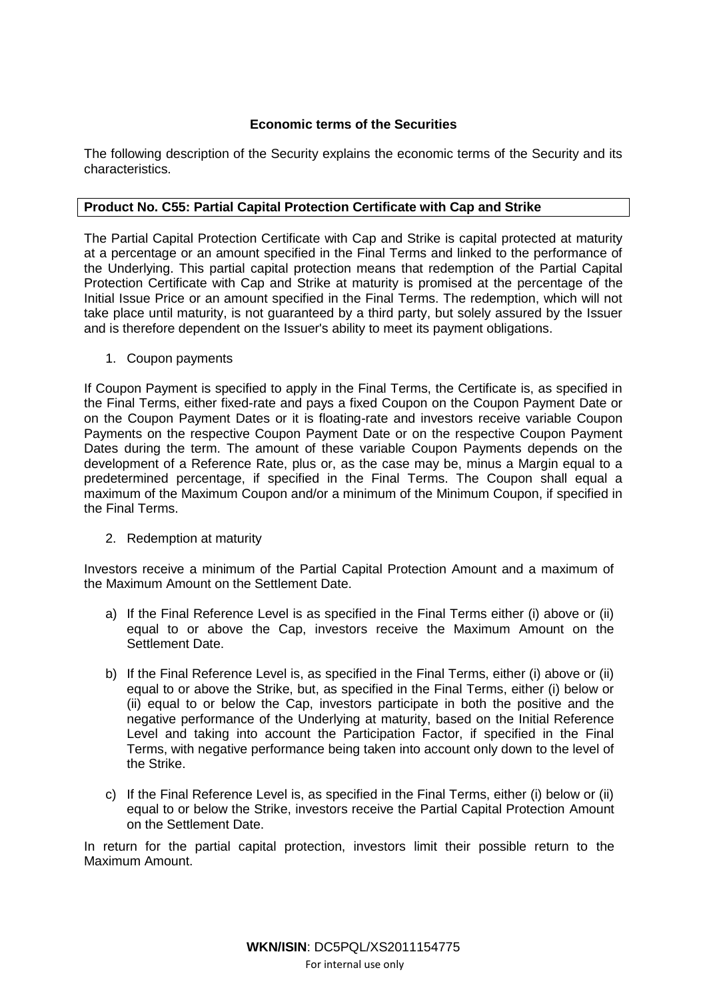# **Economic terms of the Securities**

The following description of the Security explains the economic terms of the Security and its characteristics.

# **Product No. C55: Partial Capital Protection Certificate with Cap and Strike**

The Partial Capital Protection Certificate with Cap and Strike is capital protected at maturity at a percentage or an amount specified in the Final Terms and linked to the performance of the Underlying. This partial capital protection means that redemption of the Partial Capital Protection Certificate with Cap and Strike at maturity is promised at the percentage of the Initial Issue Price or an amount specified in the Final Terms. The redemption, which will not take place until maturity, is not guaranteed by a third party, but solely assured by the Issuer and is therefore dependent on the Issuer's ability to meet its payment obligations.

1. Coupon payments

If Coupon Payment is specified to apply in the Final Terms, the Certificate is, as specified in the Final Terms, either fixed-rate and pays a fixed Coupon on the Coupon Payment Date or on the Coupon Payment Dates or it is floating-rate and investors receive variable Coupon Payments on the respective Coupon Payment Date or on the respective Coupon Payment Dates during the term. The amount of these variable Coupon Payments depends on the development of a Reference Rate, plus or, as the case may be, minus a Margin equal to a predetermined percentage, if specified in the Final Terms. The Coupon shall equal a maximum of the Maximum Coupon and/or a minimum of the Minimum Coupon, if specified in the Final Terms.

2. Redemption at maturity

Investors receive a minimum of the Partial Capital Protection Amount and a maximum of the Maximum Amount on the Settlement Date.

- a) If the Final Reference Level is as specified in the Final Terms either (i) above or (ii) equal to or above the Cap, investors receive the Maximum Amount on the Settlement Date.
- b) If the Final Reference Level is, as specified in the Final Terms, either (i) above or (ii) equal to or above the Strike, but, as specified in the Final Terms, either (i) below or (ii) equal to or below the Cap, investors participate in both the positive and the negative performance of the Underlying at maturity, based on the Initial Reference Level and taking into account the Participation Factor, if specified in the Final Terms, with negative performance being taken into account only down to the level of the Strike.
- c) If the Final Reference Level is, as specified in the Final Terms, either (i) below or (ii) equal to or below the Strike, investors receive the Partial Capital Protection Amount on the Settlement Date.

In return for the partial capital protection, investors limit their possible return to the Maximum Amount.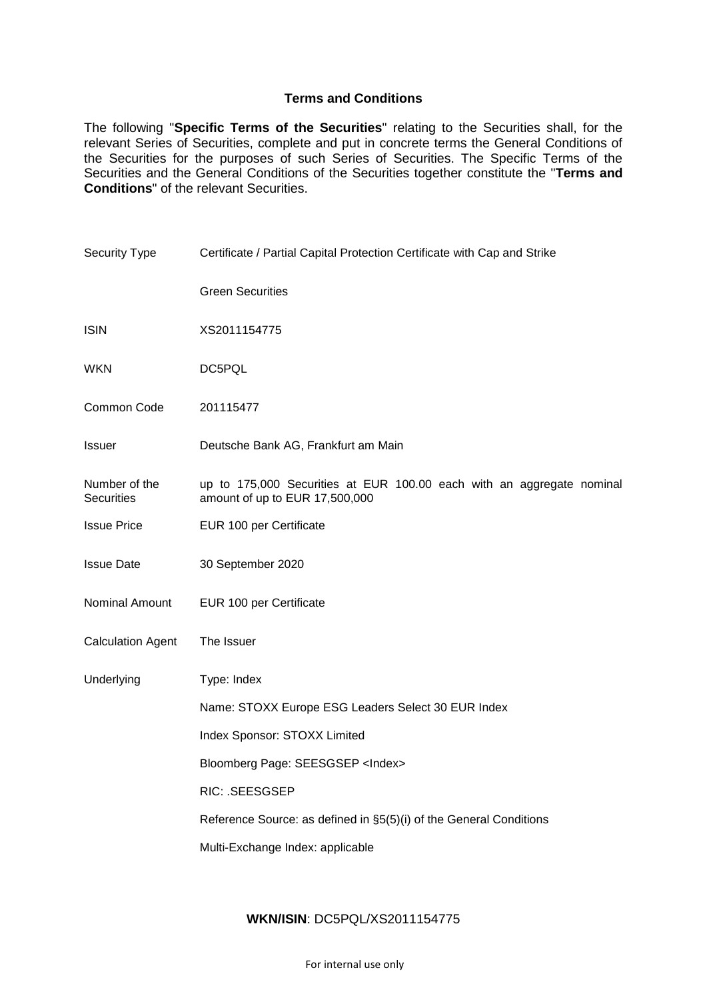# **Terms and Conditions**

The following "**Specific Terms of the Securities**" relating to the Securities shall, for the relevant Series of Securities, complete and put in concrete terms the General Conditions of the Securities for the purposes of such Series of Securities. The Specific Terms of the Securities and the General Conditions of the Securities together constitute the "**Terms and Conditions**" of the relevant Securities.

| <b>Security Type</b>               | Certificate / Partial Capital Protection Certificate with Cap and Strike                                |  |
|------------------------------------|---------------------------------------------------------------------------------------------------------|--|
|                                    | <b>Green Securities</b>                                                                                 |  |
| <b>ISIN</b>                        | XS2011154775                                                                                            |  |
| <b>WKN</b>                         | DC5PQL                                                                                                  |  |
| Common Code                        | 201115477                                                                                               |  |
| <b>Issuer</b>                      | Deutsche Bank AG, Frankfurt am Main                                                                     |  |
| Number of the<br><b>Securities</b> | up to 175,000 Securities at EUR 100.00 each with an aggregate nominal<br>amount of up to EUR 17,500,000 |  |
| <b>Issue Price</b>                 | EUR 100 per Certificate                                                                                 |  |
| <b>Issue Date</b>                  | 30 September 2020                                                                                       |  |
| Nominal Amount                     | EUR 100 per Certificate                                                                                 |  |
| <b>Calculation Agent</b>           | The Issuer                                                                                              |  |
| Underlying                         | Type: Index                                                                                             |  |
|                                    | Name: STOXX Europe ESG Leaders Select 30 EUR Index                                                      |  |
|                                    | Index Sponsor: STOXX Limited                                                                            |  |
|                                    | Bloomberg Page: SEESGSEP <index></index>                                                                |  |
|                                    | RIC: .SEESGSEP                                                                                          |  |
|                                    | Reference Source: as defined in §5(5)(i) of the General Conditions                                      |  |
|                                    | Multi-Exchange Index: applicable                                                                        |  |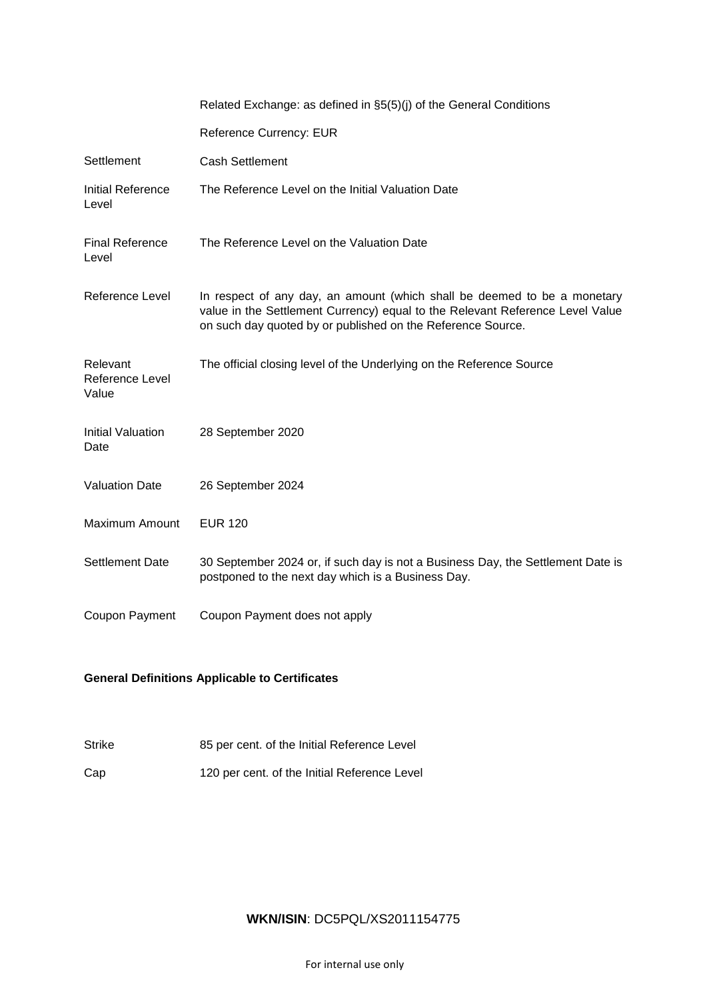|                                      | Related Exchange: as defined in §5(5)(j) of the General Conditions                                                                                                                                                       |
|--------------------------------------|--------------------------------------------------------------------------------------------------------------------------------------------------------------------------------------------------------------------------|
|                                      | Reference Currency: EUR                                                                                                                                                                                                  |
| Settlement                           | <b>Cash Settlement</b>                                                                                                                                                                                                   |
| Initial Reference<br>Level           | The Reference Level on the Initial Valuation Date                                                                                                                                                                        |
| <b>Final Reference</b><br>Level      | The Reference Level on the Valuation Date                                                                                                                                                                                |
| Reference Level                      | In respect of any day, an amount (which shall be deemed to be a monetary<br>value in the Settlement Currency) equal to the Relevant Reference Level Value<br>on such day quoted by or published on the Reference Source. |
| Relevant<br>Reference Level<br>Value | The official closing level of the Underlying on the Reference Source                                                                                                                                                     |
| Initial Valuation<br>Date            | 28 September 2020                                                                                                                                                                                                        |
| <b>Valuation Date</b>                | 26 September 2024                                                                                                                                                                                                        |
| Maximum Amount                       | <b>EUR 120</b>                                                                                                                                                                                                           |
| Settlement Date                      | 30 September 2024 or, if such day is not a Business Day, the Settlement Date is<br>postponed to the next day which is a Business Day.                                                                                    |
| Coupon Payment                       | Coupon Payment does not apply                                                                                                                                                                                            |

# **General Definitions Applicable to Certificates**

|  | <b>Strike</b> | 85 per cent. of the Initial Reference Level |
|--|---------------|---------------------------------------------|
|--|---------------|---------------------------------------------|

Cap 120 per cent. of the Initial Reference Level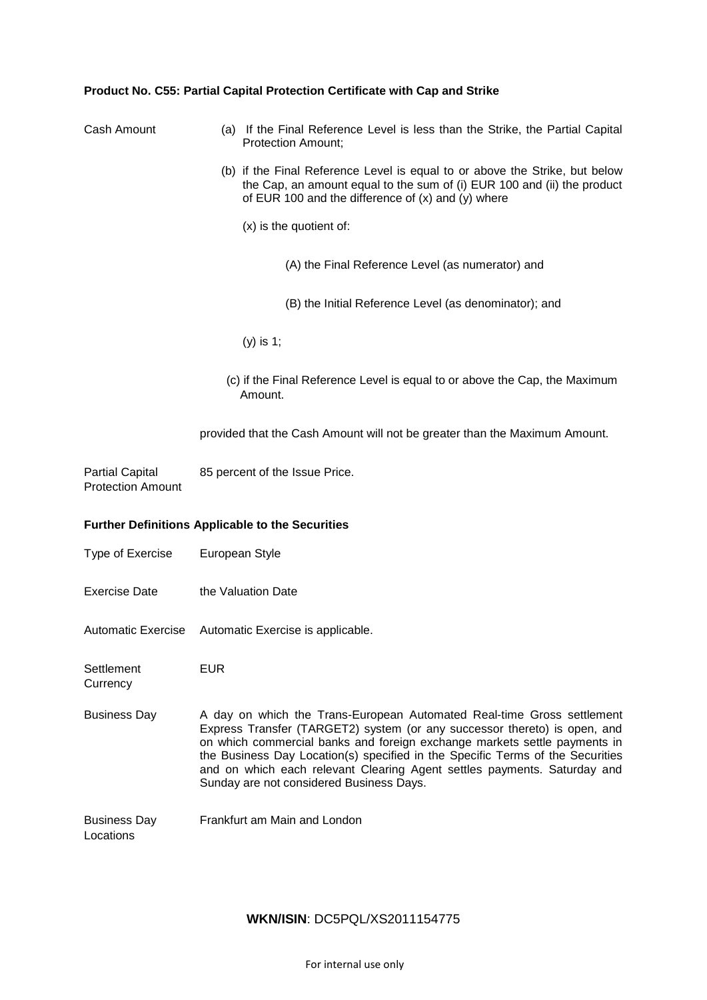# **Product No. C55: Partial Capital Protection Certificate with Cap and Strike**

| Cash Amount                                        | (a) If the Final Reference Level is less than the Strike, the Partial Capital<br><b>Protection Amount;</b>                                                                                                                                                                                                                                                                                                                                 |
|----------------------------------------------------|--------------------------------------------------------------------------------------------------------------------------------------------------------------------------------------------------------------------------------------------------------------------------------------------------------------------------------------------------------------------------------------------------------------------------------------------|
|                                                    | (b) if the Final Reference Level is equal to or above the Strike, but below<br>the Cap, an amount equal to the sum of (i) EUR 100 and (ii) the product<br>of EUR 100 and the difference of $(x)$ and $(y)$ where                                                                                                                                                                                                                           |
|                                                    | $(x)$ is the quotient of:                                                                                                                                                                                                                                                                                                                                                                                                                  |
|                                                    | (A) the Final Reference Level (as numerator) and                                                                                                                                                                                                                                                                                                                                                                                           |
|                                                    | (B) the Initial Reference Level (as denominator); and                                                                                                                                                                                                                                                                                                                                                                                      |
|                                                    | $(y)$ is 1;                                                                                                                                                                                                                                                                                                                                                                                                                                |
|                                                    | (c) if the Final Reference Level is equal to or above the Cap, the Maximum<br>Amount.                                                                                                                                                                                                                                                                                                                                                      |
|                                                    | provided that the Cash Amount will not be greater than the Maximum Amount.                                                                                                                                                                                                                                                                                                                                                                 |
| <b>Partial Capital</b><br><b>Protection Amount</b> | 85 percent of the Issue Price.                                                                                                                                                                                                                                                                                                                                                                                                             |
|                                                    | Further Definitions Applicable to the Securities                                                                                                                                                                                                                                                                                                                                                                                           |
| Type of Exercise                                   | European Style                                                                                                                                                                                                                                                                                                                                                                                                                             |
| <b>Exercise Date</b>                               | the Valuation Date                                                                                                                                                                                                                                                                                                                                                                                                                         |
| <b>Automatic Exercise</b>                          | Automatic Exercise is applicable.                                                                                                                                                                                                                                                                                                                                                                                                          |
| Settlement<br>Currency                             | <b>EUR</b>                                                                                                                                                                                                                                                                                                                                                                                                                                 |
| <b>Business Day</b>                                | A day on which the Trans-European Automated Real-time Gross settlement<br>Express Transfer (TARGET2) system (or any successor thereto) is open, and<br>on which commercial banks and foreign exchange markets settle payments in<br>the Business Day Location(s) specified in the Specific Terms of the Securities<br>and on which each relevant Clearing Agent settles payments. Saturday and<br>Sunday are not considered Business Days. |
| <b>Business Day</b><br>Locations                   | Frankfurt am Main and London                                                                                                                                                                                                                                                                                                                                                                                                               |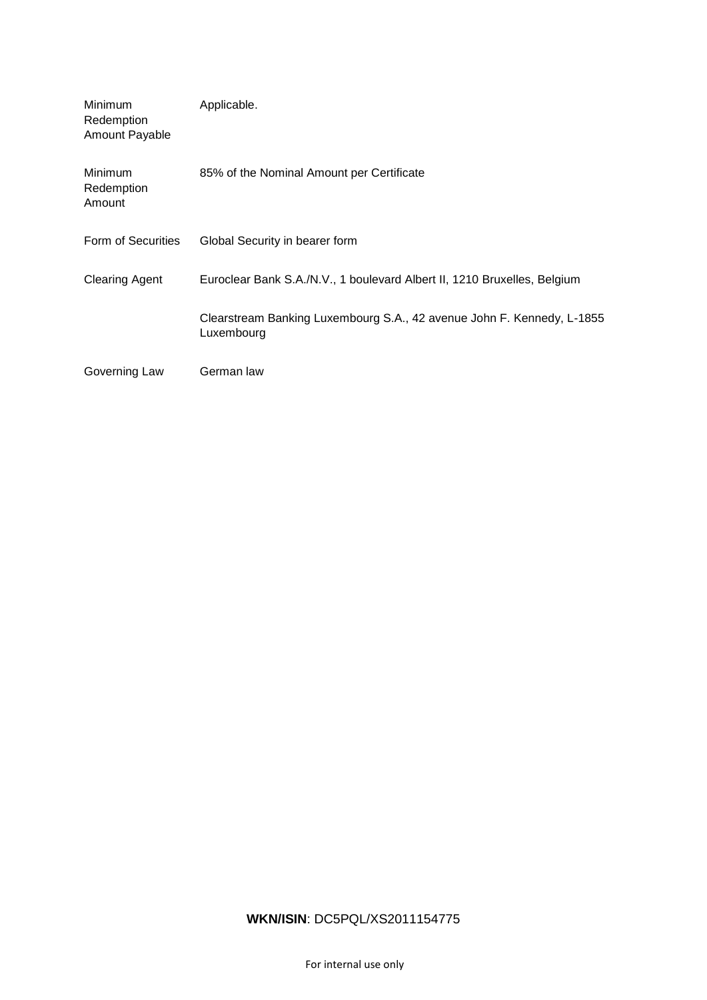| Minimum<br>Redemption<br>Amount Payable | Applicable.                                                                          |
|-----------------------------------------|--------------------------------------------------------------------------------------|
| Minimum<br>Redemption<br>Amount         | 85% of the Nominal Amount per Certificate                                            |
| Form of Securities                      | Global Security in bearer form                                                       |
| <b>Clearing Agent</b>                   | Euroclear Bank S.A./N.V., 1 boulevard Albert II, 1210 Bruxelles, Belgium             |
|                                         | Clearstream Banking Luxembourg S.A., 42 avenue John F. Kennedy, L-1855<br>Luxembourg |
| Governing Law                           | German law                                                                           |

# **WKN/ISIN**: DC5PQL/XS2011154775

For internal use only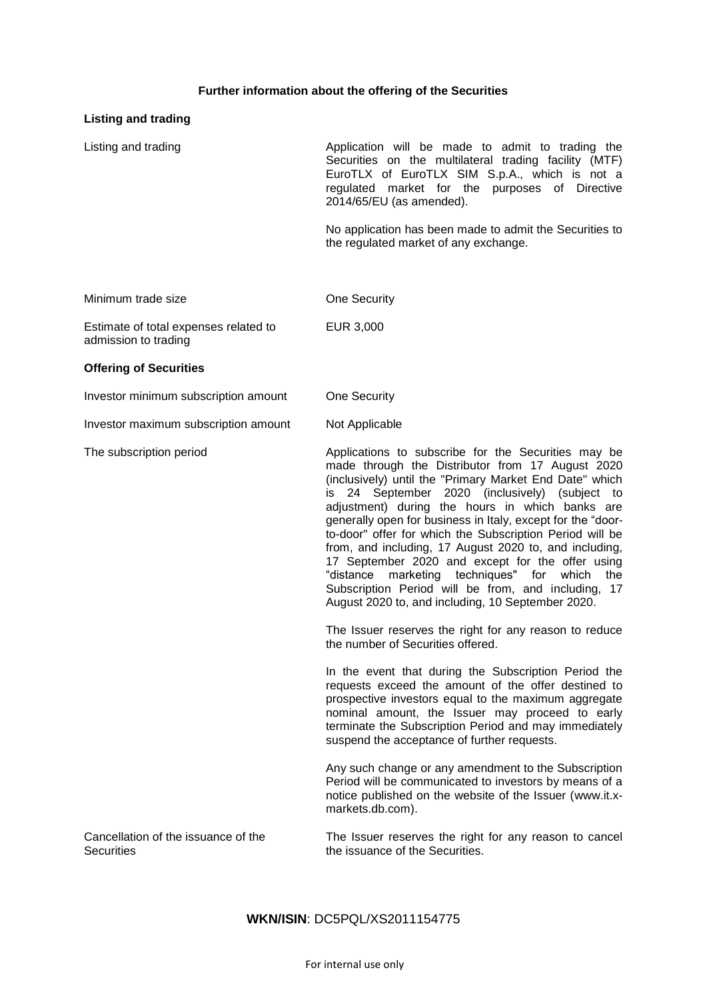# **Further information about the offering of the Securities**

# **Listing and trading**

| Listing and trading                                           | Application will be made to admit to trading the<br>Securities on the multilateral trading facility (MTF)<br>EuroTLX of EuroTLX SIM S.p.A., which is not a<br>regulated market for the purposes of Directive<br>2014/65/EU (as amended).                                                                                                                                                                                                                                                                                                                                                                                                                                         |
|---------------------------------------------------------------|----------------------------------------------------------------------------------------------------------------------------------------------------------------------------------------------------------------------------------------------------------------------------------------------------------------------------------------------------------------------------------------------------------------------------------------------------------------------------------------------------------------------------------------------------------------------------------------------------------------------------------------------------------------------------------|
|                                                               | No application has been made to admit the Securities to<br>the regulated market of any exchange.                                                                                                                                                                                                                                                                                                                                                                                                                                                                                                                                                                                 |
| Minimum trade size                                            | One Security                                                                                                                                                                                                                                                                                                                                                                                                                                                                                                                                                                                                                                                                     |
| Estimate of total expenses related to<br>admission to trading | EUR 3,000                                                                                                                                                                                                                                                                                                                                                                                                                                                                                                                                                                                                                                                                        |
| <b>Offering of Securities</b>                                 |                                                                                                                                                                                                                                                                                                                                                                                                                                                                                                                                                                                                                                                                                  |
| Investor minimum subscription amount                          | One Security                                                                                                                                                                                                                                                                                                                                                                                                                                                                                                                                                                                                                                                                     |
| Investor maximum subscription amount                          | Not Applicable                                                                                                                                                                                                                                                                                                                                                                                                                                                                                                                                                                                                                                                                   |
| The subscription period                                       | Applications to subscribe for the Securities may be<br>made through the Distributor from 17 August 2020<br>(inclusively) until the "Primary Market End Date" which<br>is 24 September 2020 (inclusively) (subject to<br>adjustment) during the hours in which banks are<br>generally open for business in Italy, except for the "door-<br>to-door" offer for which the Subscription Period will be<br>from, and including, 17 August 2020 to, and including,<br>17 September 2020 and except for the offer using<br>"distance marketing techniques" for which<br>the<br>Subscription Period will be from, and including, 17<br>August 2020 to, and including, 10 September 2020. |
|                                                               | The Issuer reserves the right for any reason to reduce<br>the number of Securities offered.                                                                                                                                                                                                                                                                                                                                                                                                                                                                                                                                                                                      |
|                                                               | In the event that during the Subscription Period the<br>requests exceed the amount of the offer destined to<br>prospective investors equal to the maximum aggregate<br>nominal amount, the Issuer may proceed to early<br>terminate the Subscription Period and may immediately<br>suspend the acceptance of further requests.                                                                                                                                                                                                                                                                                                                                                   |
|                                                               | Any such change or any amendment to the Subscription<br>Period will be communicated to investors by means of a<br>notice published on the website of the Issuer (www.it.x-<br>markets.db.com).                                                                                                                                                                                                                                                                                                                                                                                                                                                                                   |
| Cancellation of the issuance of the<br><b>Securities</b>      | The Issuer reserves the right for any reason to cancel<br>the issuance of the Securities.                                                                                                                                                                                                                                                                                                                                                                                                                                                                                                                                                                                        |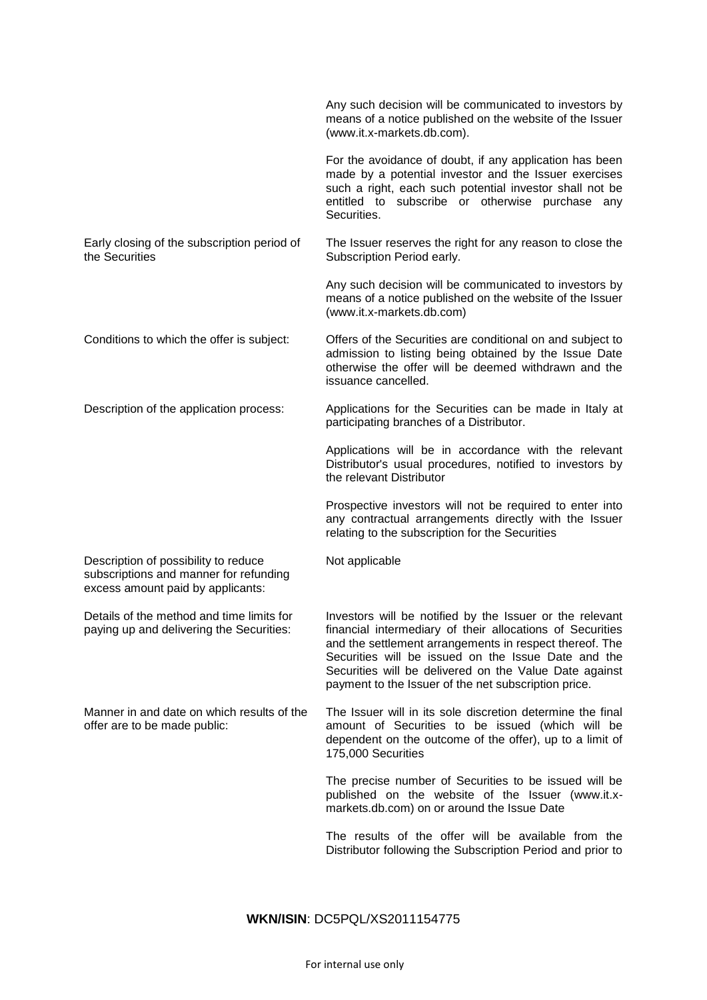|                                                                                                                     | Any such decision will be communicated to investors by<br>means of a notice published on the website of the Issuer<br>(www.it.x-markets.db.com).                                                                                                                                                                                                          |
|---------------------------------------------------------------------------------------------------------------------|-----------------------------------------------------------------------------------------------------------------------------------------------------------------------------------------------------------------------------------------------------------------------------------------------------------------------------------------------------------|
|                                                                                                                     | For the avoidance of doubt, if any application has been<br>made by a potential investor and the Issuer exercises<br>such a right, each such potential investor shall not be<br>entitled to subscribe or otherwise purchase any<br>Securities.                                                                                                             |
| Early closing of the subscription period of<br>the Securities                                                       | The Issuer reserves the right for any reason to close the<br>Subscription Period early.                                                                                                                                                                                                                                                                   |
|                                                                                                                     | Any such decision will be communicated to investors by<br>means of a notice published on the website of the Issuer<br>(www.it.x-markets.db.com)                                                                                                                                                                                                           |
| Conditions to which the offer is subject:                                                                           | Offers of the Securities are conditional on and subject to<br>admission to listing being obtained by the Issue Date<br>otherwise the offer will be deemed withdrawn and the<br>issuance cancelled.                                                                                                                                                        |
| Description of the application process:                                                                             | Applications for the Securities can be made in Italy at<br>participating branches of a Distributor.                                                                                                                                                                                                                                                       |
|                                                                                                                     | Applications will be in accordance with the relevant<br>Distributor's usual procedures, notified to investors by<br>the relevant Distributor                                                                                                                                                                                                              |
|                                                                                                                     | Prospective investors will not be required to enter into<br>any contractual arrangements directly with the Issuer<br>relating to the subscription for the Securities                                                                                                                                                                                      |
| Description of possibility to reduce<br>subscriptions and manner for refunding<br>excess amount paid by applicants: | Not applicable                                                                                                                                                                                                                                                                                                                                            |
| Details of the method and time limits for<br>paying up and delivering the Securities:                               | Investors will be notified by the Issuer or the relevant<br>financial intermediary of their allocations of Securities<br>and the settlement arrangements in respect thereof. The<br>Securities will be issued on the Issue Date and the<br>Securities will be delivered on the Value Date against<br>payment to the Issuer of the net subscription price. |
| Manner in and date on which results of the<br>offer are to be made public:                                          | The Issuer will in its sole discretion determine the final<br>amount of Securities to be issued (which will be<br>dependent on the outcome of the offer), up to a limit of<br>175,000 Securities                                                                                                                                                          |
|                                                                                                                     | The precise number of Securities to be issued will be<br>published on the website of the Issuer (www.it.x-<br>markets.db.com) on or around the Issue Date                                                                                                                                                                                                 |
|                                                                                                                     | The results of the offer will be available from the<br>Distributor following the Subscription Period and prior to                                                                                                                                                                                                                                         |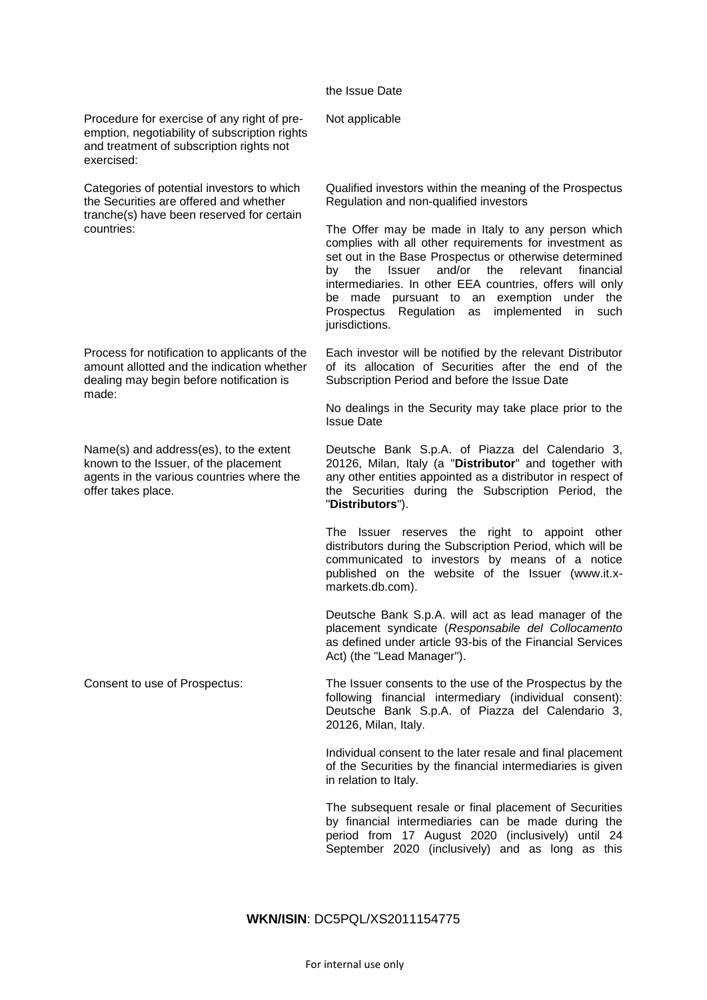## the Issue Date

Procedure for exercise of any right of preemption, negotiability of subscription rights and treatment of subscription rights not exercised:

Categories of potential investors to which the Securities are offered and whether tranche(s) have been reserved for certain countries:

Process for notification to applicants of the amount allotted and the indication whether dealing may begin before notification is made:

Name(s) and address(es), to the extent known to the Issuer, of the placement agents in the various countries where the offer takes place.

Not applicable

Qualified investors within the meaning of the Prospectus Regulation and non-qualified investors

The Offer may be made in Italy to any person which complies with all other requirements for investment as set out in the Base Prospectus or otherwise determined by the Issuer and/or the relevant financial intermediaries. In other EEA countries, offers will only be made pursuant to an exemption under the Prospectus Regulation as implemented in such jurisdictions.

Each investor will be notified by the relevant Distributor of its allocation of Securities after the end of the Subscription Period and before the Issue Date

No dealings in the Security may take place prior to the Issue Date

Deutsche Bank S.p.A. of Piazza del Calendario 3, 20126, Milan, Italy (a "**Distributor**" and together with any other entities appointed as a distributor in respect of the Securities during the Subscription Period, the "**Distributors**").

The Issuer reserves the right to appoint other distributors during the Subscription Period, which will be communicated to investors by means of a notice published on the website of the Issuer (www.it.xmarkets.db.com).

Deutsche Bank S.p.A. will act as lead manager of the placement syndicate (*Responsabile del Collocamento*  as defined under article 93-bis of the Financial Services Act) (the "Lead Manager").

Consent to use of Prospectus: The Issuer consents to the use of the Prospectus by the following financial intermediary (individual consent): Deutsche Bank S.p.A. of Piazza del Calendario 3, 20126, Milan, Italy.

> Individual consent to the later resale and final placement of the Securities by the financial intermediaries is given in relation to Italy.

> The subsequent resale or final placement of Securities by financial intermediaries can be made during the period from 17 August 2020 (inclusively) until 24 September 2020 (inclusively) and as long as this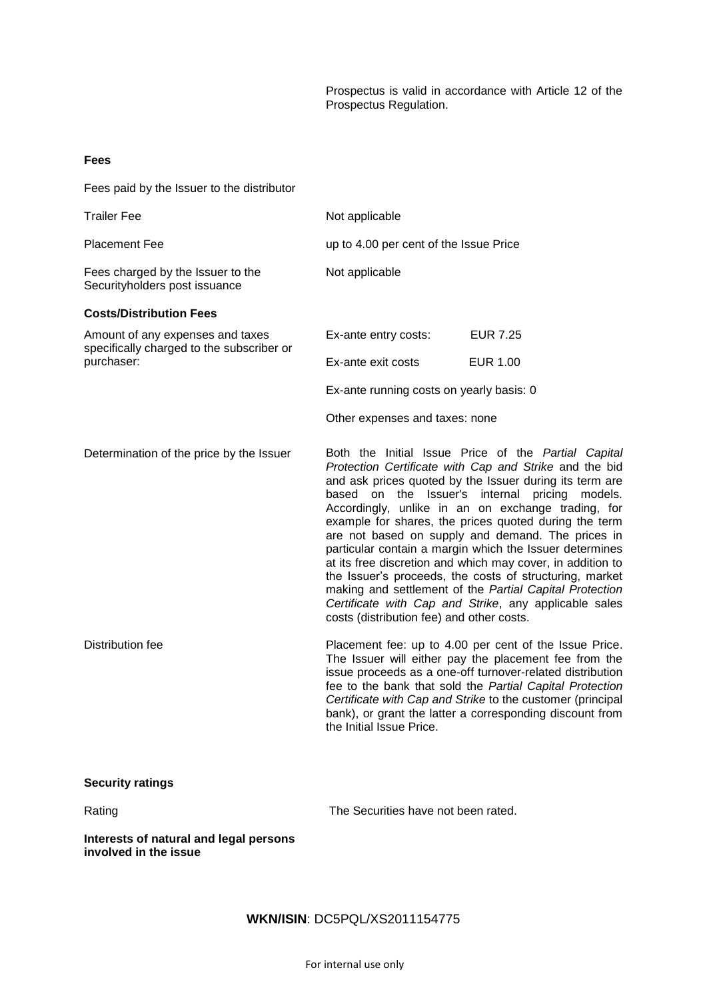Prospectus is valid in accordance with Article 12 of the Prospectus Regulation.

| Fees                                                                          |                                                                                                                                                                                                                                                                                                                                                                                                                                                                                                                                                                                                                                                                                                                                                        |                                                                                                                                                                                                                                                                                                                                                                    |  |
|-------------------------------------------------------------------------------|--------------------------------------------------------------------------------------------------------------------------------------------------------------------------------------------------------------------------------------------------------------------------------------------------------------------------------------------------------------------------------------------------------------------------------------------------------------------------------------------------------------------------------------------------------------------------------------------------------------------------------------------------------------------------------------------------------------------------------------------------------|--------------------------------------------------------------------------------------------------------------------------------------------------------------------------------------------------------------------------------------------------------------------------------------------------------------------------------------------------------------------|--|
| Fees paid by the Issuer to the distributor                                    |                                                                                                                                                                                                                                                                                                                                                                                                                                                                                                                                                                                                                                                                                                                                                        |                                                                                                                                                                                                                                                                                                                                                                    |  |
| <b>Trailer Fee</b>                                                            | Not applicable                                                                                                                                                                                                                                                                                                                                                                                                                                                                                                                                                                                                                                                                                                                                         |                                                                                                                                                                                                                                                                                                                                                                    |  |
| <b>Placement Fee</b>                                                          | up to 4.00 per cent of the Issue Price                                                                                                                                                                                                                                                                                                                                                                                                                                                                                                                                                                                                                                                                                                                 |                                                                                                                                                                                                                                                                                                                                                                    |  |
| Fees charged by the Issuer to the<br>Securityholders post issuance            | Not applicable                                                                                                                                                                                                                                                                                                                                                                                                                                                                                                                                                                                                                                                                                                                                         |                                                                                                                                                                                                                                                                                                                                                                    |  |
| <b>Costs/Distribution Fees</b>                                                |                                                                                                                                                                                                                                                                                                                                                                                                                                                                                                                                                                                                                                                                                                                                                        |                                                                                                                                                                                                                                                                                                                                                                    |  |
| Amount of any expenses and taxes<br>specifically charged to the subscriber or | Ex-ante entry costs:                                                                                                                                                                                                                                                                                                                                                                                                                                                                                                                                                                                                                                                                                                                                   | <b>EUR 7.25</b>                                                                                                                                                                                                                                                                                                                                                    |  |
| purchaser:                                                                    | Ex-ante exit costs                                                                                                                                                                                                                                                                                                                                                                                                                                                                                                                                                                                                                                                                                                                                     | <b>EUR 1.00</b>                                                                                                                                                                                                                                                                                                                                                    |  |
|                                                                               | Ex-ante running costs on yearly basis: 0                                                                                                                                                                                                                                                                                                                                                                                                                                                                                                                                                                                                                                                                                                               |                                                                                                                                                                                                                                                                                                                                                                    |  |
|                                                                               | Other expenses and taxes: none                                                                                                                                                                                                                                                                                                                                                                                                                                                                                                                                                                                                                                                                                                                         |                                                                                                                                                                                                                                                                                                                                                                    |  |
| Determination of the price by the Issuer                                      | Both the Initial Issue Price of the Partial Capital<br>Protection Certificate with Cap and Strike and the bid<br>and ask prices quoted by the Issuer during its term are<br>based on the Issuer's internal pricing<br>models.<br>Accordingly, unlike in an on exchange trading, for<br>example for shares, the prices quoted during the term<br>are not based on supply and demand. The prices in<br>particular contain a margin which the Issuer determines<br>at its free discretion and which may cover, in addition to<br>the Issuer's proceeds, the costs of structuring, market<br>making and settlement of the Partial Capital Protection<br>Certificate with Cap and Strike, any applicable sales<br>costs (distribution fee) and other costs. |                                                                                                                                                                                                                                                                                                                                                                    |  |
| Distribution fee                                                              | the Initial Issue Price.                                                                                                                                                                                                                                                                                                                                                                                                                                                                                                                                                                                                                                                                                                                               | Placement fee: up to 4.00 per cent of the Issue Price.<br>The Issuer will either pay the placement fee from the<br>issue proceeds as a one-off turnover-related distribution<br>fee to the bank that sold the Partial Capital Protection<br>Certificate with Cap and Strike to the customer (principal<br>bank), or grant the latter a corresponding discount from |  |
| <b>Security ratings</b>                                                       |                                                                                                                                                                                                                                                                                                                                                                                                                                                                                                                                                                                                                                                                                                                                                        |                                                                                                                                                                                                                                                                                                                                                                    |  |
| Rating                                                                        | The Securities have not been rated.                                                                                                                                                                                                                                                                                                                                                                                                                                                                                                                                                                                                                                                                                                                    |                                                                                                                                                                                                                                                                                                                                                                    |  |
|                                                                               |                                                                                                                                                                                                                                                                                                                                                                                                                                                                                                                                                                                                                                                                                                                                                        |                                                                                                                                                                                                                                                                                                                                                                    |  |

**Interests of natural and legal persons involved in the issue**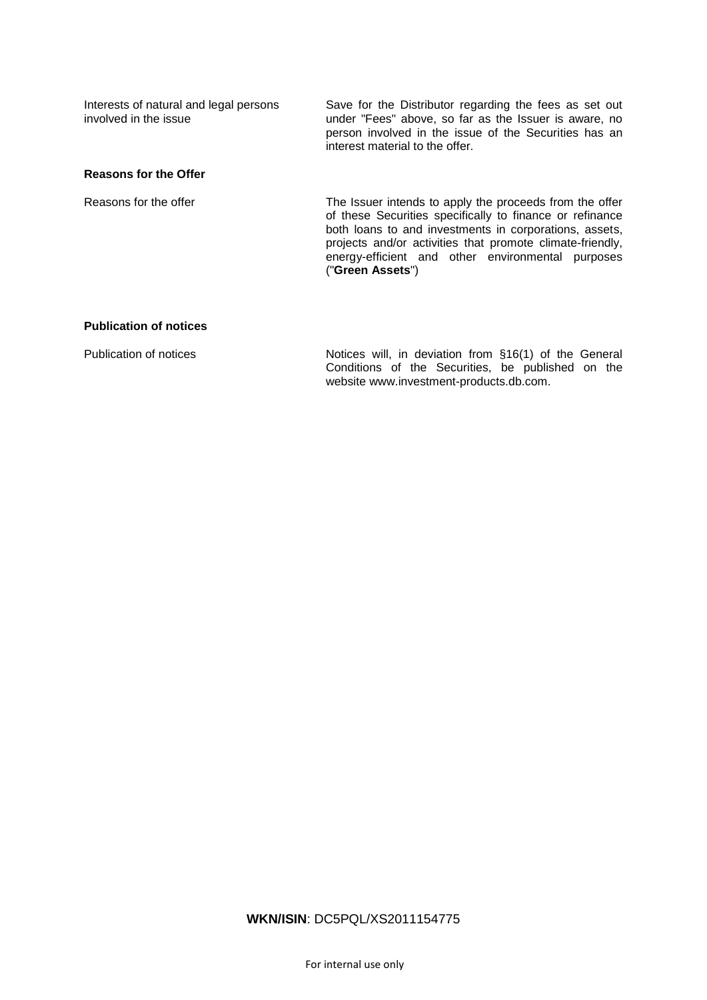Interests of natural and legal persons involved in the issue Save for the Distributor regarding the fees as set out under "Fees" above, so far as the Issuer is aware, no person involved in the issue of the Securities has an interest material to the offer.

## **Reasons for the Offer**

Reasons for the offer The Issuer intends to apply the proceeds from the offer of these Securities specifically to finance or refinance both loans to and investments in corporations, assets, projects and/or activities that promote climate-friendly, energy-efficient and other environmental purposes ("**Green Assets**")

## **Publication of notices**

Publication of notices Notices will, in deviation from §16(1) of the General Conditions of the Securities, be published on the website www.investment-products.db.com.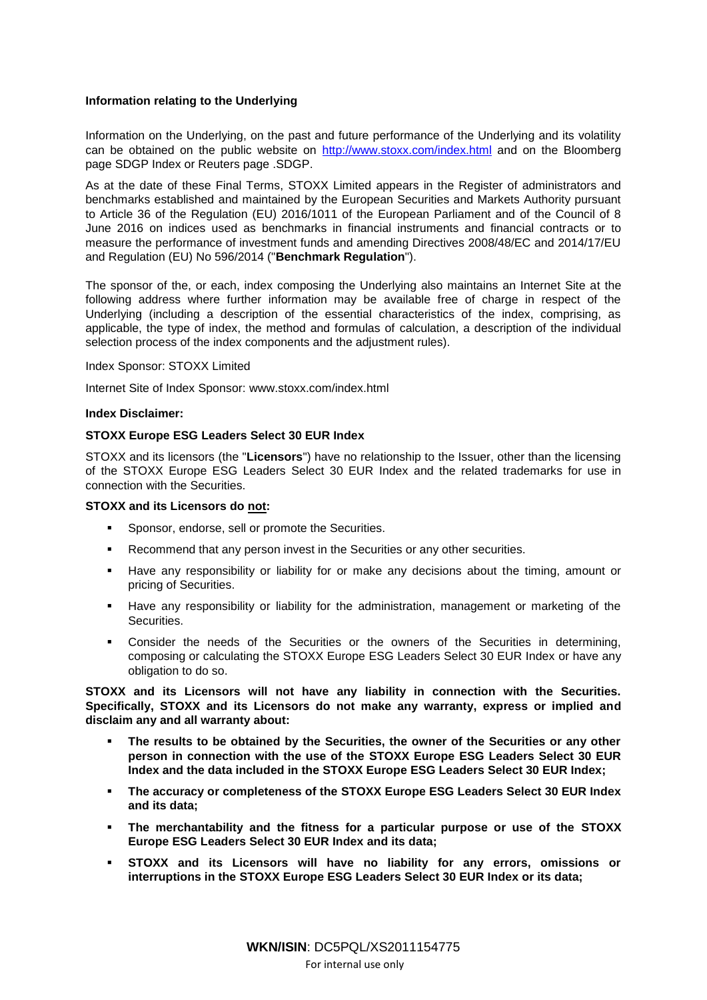## **Information relating to the Underlying**

Information on the Underlying, on the past and future performance of the Underlying and its volatility can be obtained on the public website on<http://www.stoxx.com/index.html> and on the Bloomberg page SDGP Index or Reuters page .SDGP.

As at the date of these Final Terms, STOXX Limited appears in the Register of administrators and benchmarks established and maintained by the European Securities and Markets Authority pursuant to Article 36 of the Regulation (EU) 2016/1011 of the European Parliament and of the Council of 8 June 2016 on indices used as benchmarks in financial instruments and financial contracts or to measure the performance of investment funds and amending Directives 2008/48/EC and 2014/17/EU and Regulation (EU) No 596/2014 ("**Benchmark Regulation**").

The sponsor of the, or each, index composing the Underlying also maintains an Internet Site at the following address where further information may be available free of charge in respect of the Underlying (including a description of the essential characteristics of the index, comprising, as applicable, the type of index, the method and formulas of calculation, a description of the individual selection process of the index components and the adjustment rules).

Index Sponsor: STOXX Limited

Internet Site of Index Sponsor: [www.stoxx.com/index.html](http://www.stoxx.com/index.html) 

## **Index Disclaimer:**

## **STOXX Europe ESG Leaders Select 30 EUR Index**

STOXX and its licensors (the "**Licensors**") have no relationship to the Issuer, other than the licensing of the STOXX Europe ESG Leaders Select 30 EUR Index and the related trademarks for use in connection with the Securities.

## **STOXX and its Licensors do not:**

- Sponsor, endorse, sell or promote the Securities.
- Recommend that any person invest in the Securities or any other securities.
- Have any responsibility or liability for or make any decisions about the timing, amount or pricing of Securities.
- Have any responsibility or liability for the administration, management or marketing of the Securities.
- Consider the needs of the Securities or the owners of the Securities in determining, composing or calculating the STOXX Europe ESG Leaders Select 30 EUR Index or have any obligation to do so.

**STOXX and its Licensors will not have any liability in connection with the Securities. Specifically, STOXX and its Licensors do not make any warranty, express or implied and disclaim any and all warranty about:**

- **The results to be obtained by the Securities, the owner of the Securities or any other person in connection with the use of the STOXX Europe ESG Leaders Select 30 EUR Index and the data included in the STOXX Europe ESG Leaders Select 30 EUR Index;**
- **The accuracy or completeness of the STOXX Europe ESG Leaders Select 30 EUR Index and its data;**
- **The merchantability and the fitness for a particular purpose or use of the STOXX Europe ESG Leaders Select 30 EUR Index and its data;**
- **STOXX and its Licensors will have no liability for any errors, omissions or interruptions in the STOXX Europe ESG Leaders Select 30 EUR Index or its data;**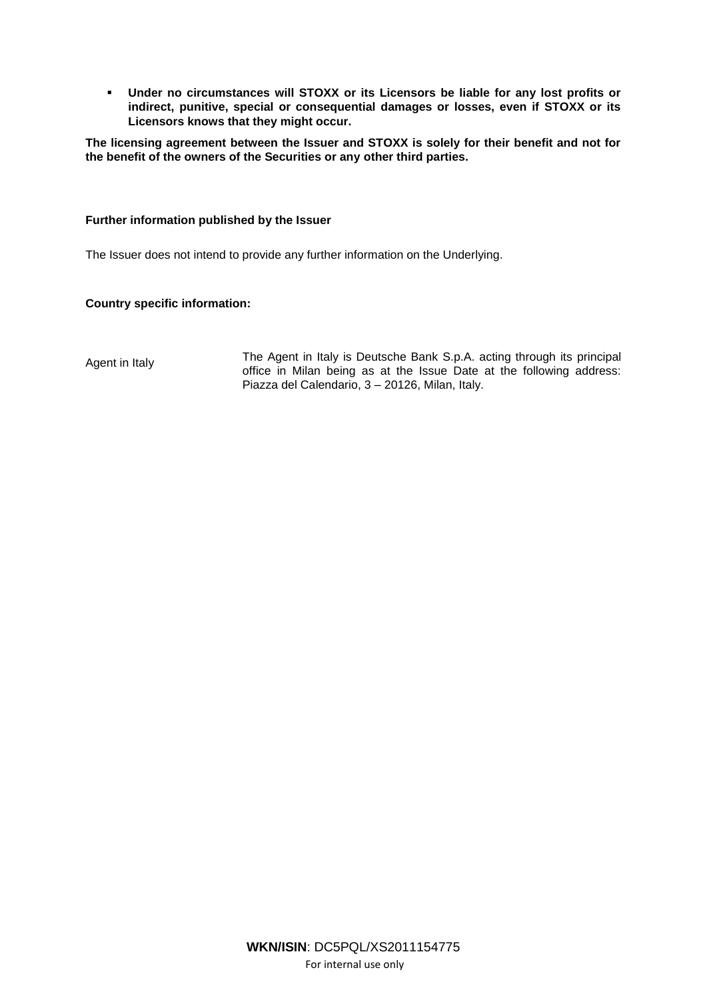**Under no circumstances will STOXX or its Licensors be liable for any lost profits or indirect, punitive, special or consequential damages or losses, even if STOXX or its Licensors knows that they might occur.**

**The licensing agreement between the Issuer and STOXX is solely for their benefit and not for the benefit of the owners of the Securities or any other third parties.**

## **Further information published by the Issuer**

The Issuer does not intend to provide any further information on the Underlying.

## **Country specific information:**

Agent in Italy The Agent in Italy is Deutsche Bank S.p.A. acting through its principal office in Milan being as at the Issue Date at the following address: Piazza del Calendario, 3 – 20126, Milan, Italy.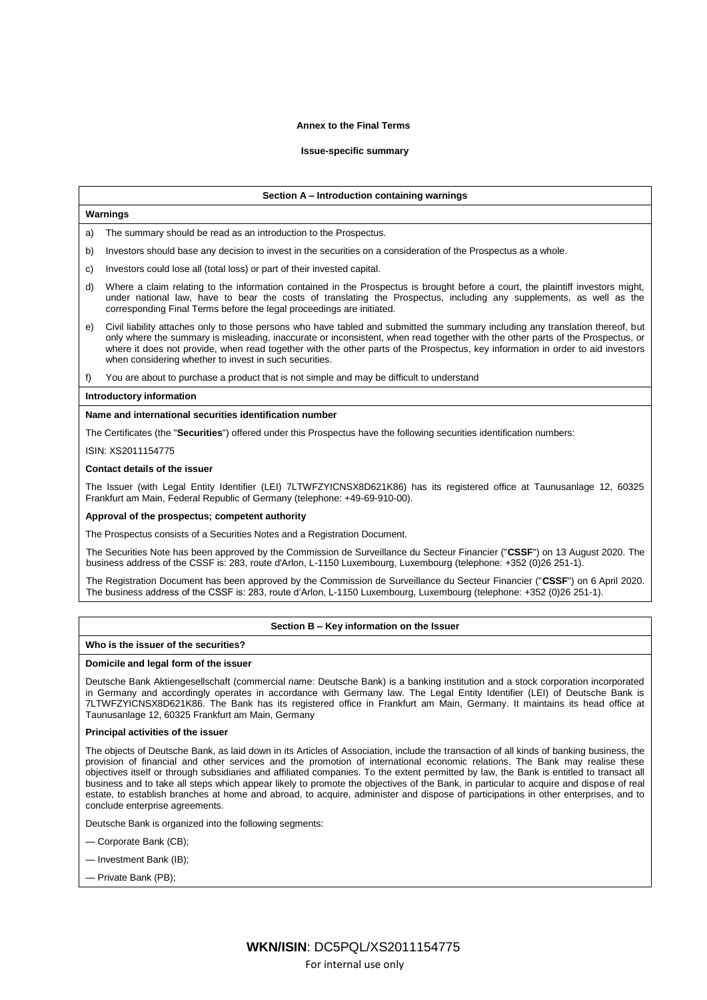#### **Annex to the Final Terms**

### **Issue-specific summary**

#### **Section A – Introduction containing warnings**

## **Warnings**

a) The summary should be read as an introduction to the Prospectus.

- b) Investors should base any decision to invest in the securities on a consideration of the Prospectus as a whole.
- c) Investors could lose all (total loss) or part of their invested capital.
- d) Where a claim relating to the information contained in the Prospectus is brought before a court, the plaintiff investors might, under national law, have to bear the costs of translating the Prospectus, including any supplements, as well as the corresponding Final Terms before the legal proceedings are initiated.
- e) Civil liability attaches only to those persons who have tabled and submitted the summary including any translation thereof, but only where the summary is misleading, inaccurate or inconsistent, when read together with the other parts of the Prospectus, or where it does not provide, when read together with the other parts of the Prospectus, key information in order to aid investors when considering whether to invest in such securities.
- f) You are about to purchase a product that is not simple and may be difficult to understand

#### **Introductory information**

#### **Name and international securities identification number**

The Certificates (the "**Securities**") offered under this Prospectus have the following securities identification numbers:

ISIN: XS2011154775

#### **Contact details of the issuer**

The Issuer (with Legal Entity Identifier (LEI) 7LTWFZYICNSX8D621K86) has its registered office at Taunusanlage 12, 60325 Frankfurt am Main, Federal Republic of Germany (telephone: +49-69-910-00).

### **Approval of the prospectus; competent authority**

The Prospectus consists of a Securities Notes and a Registration Document.

The Securities Note has been approved by the Commission de Surveillance du Secteur Financier ("**CSSF**") on 13 August 2020. The business address of the CSSF is: 283, route d'Arlon, L-1150 Luxembourg, Luxembourg (telephone: +352 (0)26 251-1).

The Registration Document has been approved by the Commission de Surveillance du Secteur Financier ("**CSSF**") on 6 April 2020. The business address of the CSSF is: 283, route d'Arlon, L-1150 Luxembourg, Luxembourg (telephone: +352 (0)26 251-1).

#### **Section B – Key information on the Issuer**

## **Who is the issuer of the securities?**

#### **Domicile and legal form of the issuer**

Deutsche Bank Aktiengesellschaft (commercial name: Deutsche Bank) is a banking institution and a stock corporation incorporated in Germany and accordingly operates in accordance with Germany law. The Legal Entity Identifier (LEI) of Deutsche Bank is 7LTWFZYICNSX8D621K86. The Bank has its registered office in Frankfurt am Main, Germany. It maintains its head office at Taunusanlage 12, 60325 Frankfurt am Main, Germany

### **Principal activities of the issuer**

The objects of Deutsche Bank, as laid down in its Articles of Association, include the transaction of all kinds of banking business, the provision of financial and other services and the promotion of international economic relations. The Bank may realise these objectives itself or through subsidiaries and affiliated companies. To the extent permitted by law, the Bank is entitled to transact all business and to take all steps which appear likely to promote the objectives of the Bank, in particular to acquire and dispose of real estate, to establish branches at home and abroad, to acquire, administer and dispose of participations in other enterprises, and to conclude enterprise agreements.

Deutsche Bank is organized into the following segments:

- Corporate Bank (CB);
- Investment Bank (IB);
- Private Bank (PB);

For internal use only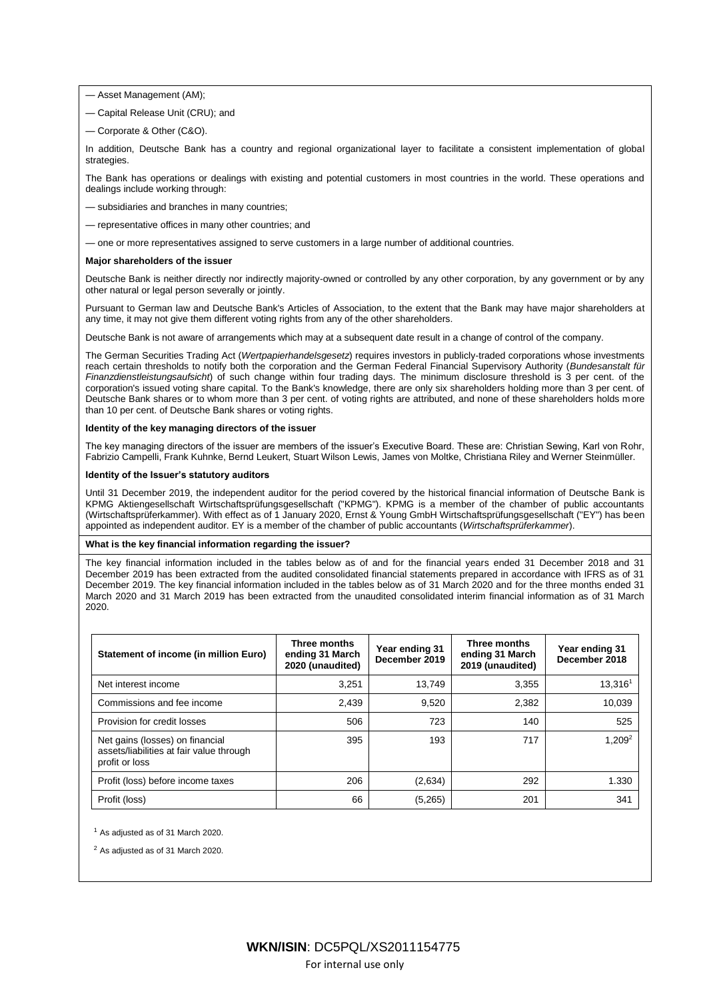- Asset Management (AM);
- Capital Release Unit (CRU); and
- Corporate & Other (C&O).

In addition, Deutsche Bank has a country and regional organizational layer to facilitate a consistent implementation of global strategies.

The Bank has operations or dealings with existing and potential customers in most countries in the world. These operations and dealings include working through:

- subsidiaries and branches in many countries;
- representative offices in many other countries; and
- one or more representatives assigned to serve customers in a large number of additional countries.

#### **Major shareholders of the issuer**

Deutsche Bank is neither directly nor indirectly majority-owned or controlled by any other corporation, by any government or by any other natural or legal person severally or jointly.

Pursuant to German law and Deutsche Bank's Articles of Association, to the extent that the Bank may have major shareholders at any time, it may not give them different voting rights from any of the other shareholders.

Deutsche Bank is not aware of arrangements which may at a subsequent date result in a change of control of the company.

The German Securities Trading Act (*Wertpapierhandelsgesetz*) requires investors in publicly-traded corporations whose investments reach certain thresholds to notify both the corporation and the German Federal Financial Supervisory Authority (*Bundesanstalt für Finanzdienstleistungsaufsicht*) of such change within four trading days. The minimum disclosure threshold is 3 per cent. of the corporation's issued voting share capital. To the Bank's knowledge, there are only six shareholders holding more than 3 per cent. of Deutsche Bank shares or to whom more than 3 per cent. of voting rights are attributed, and none of these shareholders holds more than 10 per cent. of Deutsche Bank shares or voting rights.

## **Identity of the key managing directors of the issuer**

The key managing directors of the issuer are members of the issuer's Executive Board. These are: Christian Sewing, Karl von Rohr, Fabrizio Campelli, Frank Kuhnke, Bernd Leukert, Stuart Wilson Lewis, James von Moltke, Christiana Riley and Werner Steinmüller.

### **Identity of the Issuer's statutory auditors**

Until 31 December 2019, the independent auditor for the period covered by the historical financial information of Deutsche Bank is KPMG Aktiengesellschaft Wirtschaftsprüfungsgesellschaft ("KPMG"). KPMG is a member of the chamber of public accountants (Wirtschaftsprüferkammer). With effect as of 1 January 2020, Ernst & Young GmbH Wirtschaftsprüfungsgesellschaft ("EY") has been appointed as independent auditor. EY is a member of the chamber of public accountants (*Wirtschaftsprüferkammer*).

### **What is the key financial information regarding the issuer?**

The key financial information included in the tables below as of and for the financial years ended 31 December 2018 and 31 December 2019 has been extracted from the audited consolidated financial statements prepared in accordance with IFRS as of 31 December 2019. The key financial information included in the tables below as of 31 March 2020 and for the three months ended 31 March 2020 and 31 March 2019 has been extracted from the unaudited consolidated interim financial information as of 31 March 2020.

| Statement of income (in million Euro)                                                         | Three months<br>ending 31 March<br>2020 (unaudited) | Year ending 31<br>December 2019 | Three months<br>ending 31 March<br>2019 (unaudited) | Year ending 31<br>December 2018 |
|-----------------------------------------------------------------------------------------------|-----------------------------------------------------|---------------------------------|-----------------------------------------------------|---------------------------------|
| Net interest income                                                                           | 3.251                                               | 13.749                          | 3.355                                               | 13.316 <sup>1</sup>             |
| Commissions and fee income                                                                    | 2.439                                               | 9,520                           | 2,382                                               | 10,039                          |
| Provision for credit losses                                                                   | 506                                                 | 723                             | 140                                                 | 525                             |
| Net gains (losses) on financial<br>assets/liabilities at fair value through<br>profit or loss | 395                                                 | 193                             | 717                                                 | 1,209 <sup>2</sup>              |
| Profit (loss) before income taxes                                                             | 206                                                 | (2,634)                         | 292                                                 | 1.330                           |
| Profit (loss)                                                                                 | 66                                                  | (5,265)                         | 201                                                 | 341                             |

<sup>1</sup> As adjusted as of 31 March 2020.

<sup>2</sup> As adjusted as of 31 March 2020.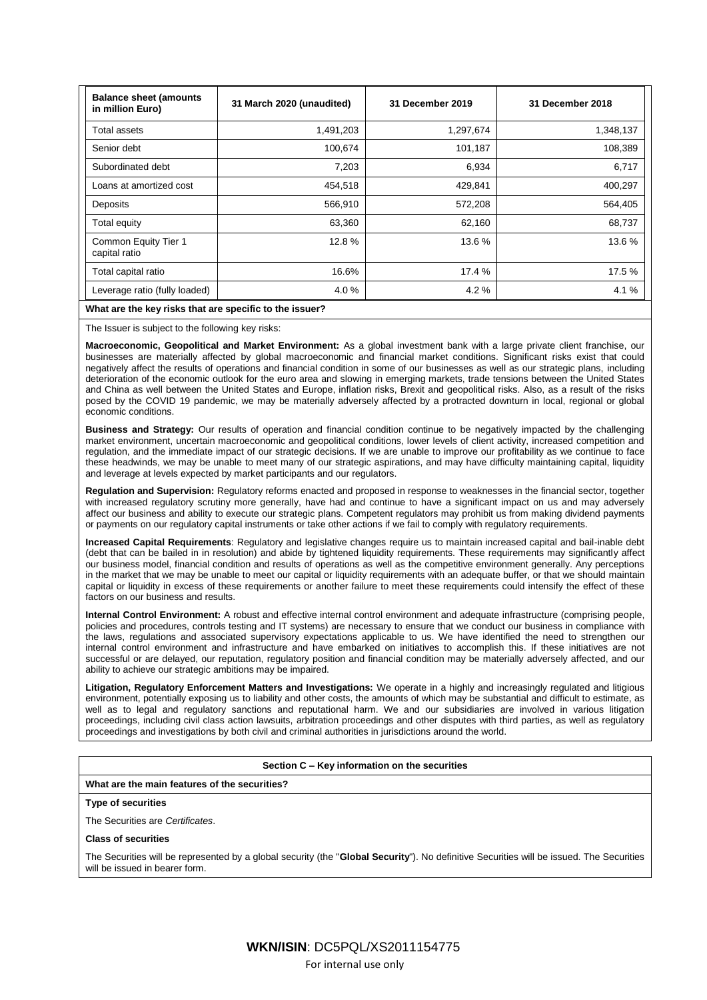| <b>Balance sheet (amounts)</b><br>in million Euro) | 31 March 2020 (unaudited) | 31 December 2019 | 31 December 2018 |
|----------------------------------------------------|---------------------------|------------------|------------------|
| Total assets                                       | 1,491,203                 | 1,297,674        | 1,348,137        |
| Senior debt                                        | 100,674                   | 101,187          | 108,389          |
| Subordinated debt                                  | 7,203                     | 6,934            | 6,717            |
| Loans at amortized cost                            | 454,518                   | 429,841          | 400,297          |
| Deposits                                           | 566,910                   | 572,208          | 564,405          |
| Total equity                                       | 63,360                    | 62,160           | 68,737           |
| Common Equity Tier 1<br>capital ratio              | 12.8%                     | 13.6%            | 13.6%            |
| Total capital ratio                                | 16.6%                     | 17.4 %           | 17.5 %           |
| Leverage ratio (fully loaded)                      | 4.0%                      | 4.2%             | 4.1%             |

## **What are the key risks that are specific to the issuer?**

The Issuer is subject to the following key risks:

**Macroeconomic, Geopolitical and Market Environment:** As a global investment bank with a large private client franchise, our businesses are materially affected by global macroeconomic and financial market conditions. Significant risks exist that could negatively affect the results of operations and financial condition in some of our businesses as well as our strategic plans, including deterioration of the economic outlook for the euro area and slowing in emerging markets, trade tensions between the United States and China as well between the United States and Europe, inflation risks, Brexit and geopolitical risks. Also, as a result of the risks posed by the COVID 19 pandemic, we may be materially adversely affected by a protracted downturn in local, regional or global economic conditions.

**Business and Strategy:** Our results of operation and financial condition continue to be negatively impacted by the challenging market environment, uncertain macroeconomic and geopolitical conditions, lower levels of client activity, increased competition and regulation, and the immediate impact of our strategic decisions. If we are unable to improve our profitability as we continue to face these headwinds, we may be unable to meet many of our strategic aspirations, and may have difficulty maintaining capital, liquidity and leverage at levels expected by market participants and our regulators.

**Regulation and Supervision:** Regulatory reforms enacted and proposed in response to weaknesses in the financial sector, together with increased regulatory scrutiny more generally, have had and continue to have a significant impact on us and may adversely affect our business and ability to execute our strategic plans. Competent regulators may prohibit us from making dividend payments or payments on our regulatory capital instruments or take other actions if we fail to comply with regulatory requirements.

**Increased Capital Requirements**: Regulatory and legislative changes require us to maintain increased capital and bail-inable debt (debt that can be bailed in in resolution) and abide by tightened liquidity requirements. These requirements may significantly affect our business model, financial condition and results of operations as well as the competitive environment generally. Any perceptions in the market that we may be unable to meet our capital or liquidity requirements with an adequate buffer, or that we should maintain capital or liquidity in excess of these requirements or another failure to meet these requirements could intensify the effect of these factors on our business and results.

**Internal Control Environment:** A robust and effective internal control environment and adequate infrastructure (comprising people, policies and procedures, controls testing and IT systems) are necessary to ensure that we conduct our business in compliance with the laws, regulations and associated supervisory expectations applicable to us. We have identified the need to strengthen our internal control environment and infrastructure and have embarked on initiatives to accomplish this. If these initiatives are not successful or are delayed, our reputation, regulatory position and financial condition may be materially adversely affected, and our ability to achieve our strategic ambitions may be impaired.

**Litigation, Regulatory Enforcement Matters and Investigations:** We operate in a highly and increasingly regulated and litigious environment, potentially exposing us to liability and other costs, the amounts of which may be substantial and difficult to estimate, as well as to legal and regulatory sanctions and reputational harm. We and our subsidiaries are involved in various litigation proceedings, including civil class action lawsuits, arbitration proceedings and other disputes with third parties, as well as regulatory proceedings and investigations by both civil and criminal authorities in jurisdictions around the world.

#### **Section C – Key information on the securities**

#### **What are the main features of the securities?**

### **Type of securities**

The Securities are *Certificates*.

### **Class of securities**

The Securities will be represented by a global security (the "**Global Security**"). No definitive Securities will be issued. The Securities will be issued in bearer form.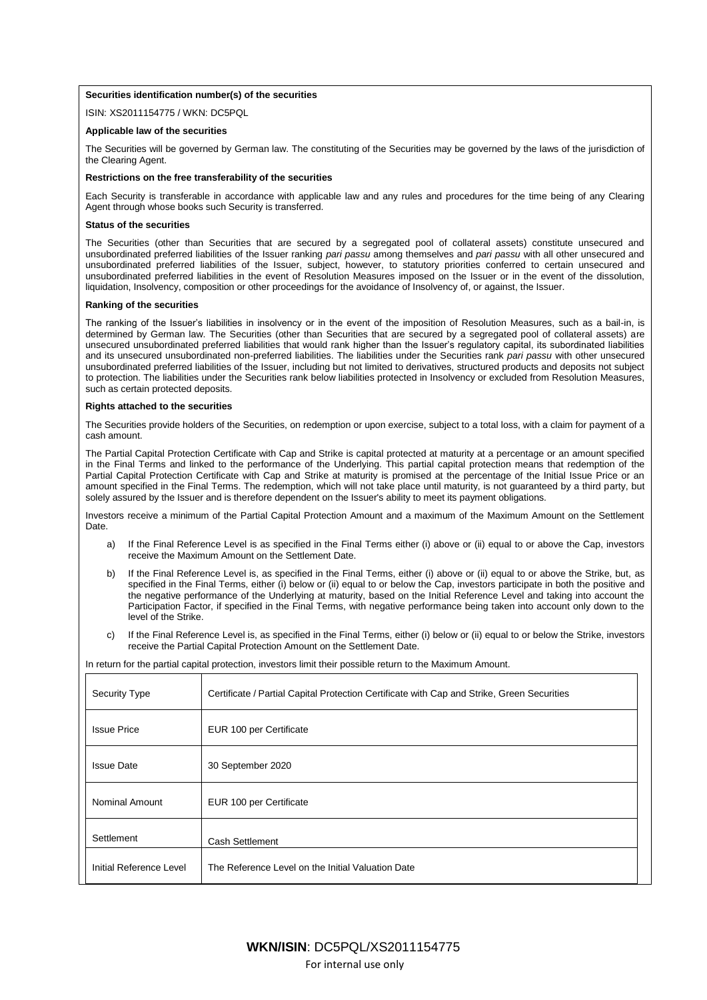## **Securities identification number(s) of the securities**

ISIN: XS2011154775 / WKN: DC5PQL

#### **Applicable law of the securities**

The Securities will be governed by German law. The constituting of the Securities may be governed by the laws of the jurisdiction of the Clearing Agent.

#### **Restrictions on the free transferability of the securities**

Each Security is transferable in accordance with applicable law and any rules and procedures for the time being of any Clearing Agent through whose books such Security is transferred.

### **Status of the securities**

The Securities (other than Securities that are secured by a segregated pool of collateral assets) constitute unsecured and unsubordinated preferred liabilities of the Issuer ranking *pari passu* among themselves and *pari passu* with all other unsecured and unsubordinated preferred liabilities of the Issuer, subject, however, to statutory priorities conferred to certain unsecured and unsubordinated preferred liabilities in the event of Resolution Measures imposed on the Issuer or in the event of the dissolution, liquidation, Insolvency, composition or other proceedings for the avoidance of Insolvency of, or against, the Issuer.

## **Ranking of the securities**

The ranking of the Issuer's liabilities in insolvency or in the event of the imposition of Resolution Measures, such as a bail-in, is determined by German law. The Securities (other than Securities that are secured by a segregated pool of collateral assets) are unsecured unsubordinated preferred liabilities that would rank higher than the Issuer's regulatory capital, its subordinated liabilities and its unsecured unsubordinated non-preferred liabilities. The liabilities under the Securities rank *pari passu* with other unsecured unsubordinated preferred liabilities of the Issuer, including but not limited to derivatives, structured products and deposits not subject to protection. The liabilities under the Securities rank below liabilities protected in Insolvency or excluded from Resolution Measures, such as certain protected deposits.

#### **Rights attached to the securities**

The Securities provide holders of the Securities, on redemption or upon exercise, subject to a total loss, with a claim for payment of a cash amount.

The Partial Capital Protection Certificate with Cap and Strike is capital protected at maturity at a percentage or an amount specified in the Final Terms and linked to the performance of the Underlying. This partial capital protection means that redemption of the Partial Capital Protection Certificate with Cap and Strike at maturity is promised at the percentage of the Initial Issue Price or an amount specified in the Final Terms. The redemption, which will not take place until maturity, is not guaranteed by a third party, but solely assured by the Issuer and is therefore dependent on the Issuer's ability to meet its payment obligations.

Investors receive a minimum of the Partial Capital Protection Amount and a maximum of the Maximum Amount on the Settlement Date.

- a) If the Final Reference Level is as specified in the Final Terms either (i) above or (ii) equal to or above the Cap, investors receive the Maximum Amount on the Settlement Date.
- b) If the Final Reference Level is, as specified in the Final Terms, either (i) above or (ii) equal to or above the Strike, but, as specified in the Final Terms, either (i) below or (ii) equal to or below the Cap, investors participate in both the positive and the negative performance of the Underlying at maturity, based on the Initial Reference Level and taking into account the Participation Factor, if specified in the Final Terms, with negative performance being taken into account only down to the level of the Strike.
- c) If the Final Reference Level is, as specified in the Final Terms, either (i) below or (ii) equal to or below the Strike, investors receive the Partial Capital Protection Amount on the Settlement Date.

## In return for the partial capital protection, investors limit their possible return to the Maximum Amount.

| <b>Security Type</b>    | Certificate / Partial Capital Protection Certificate with Cap and Strike, Green Securities |
|-------------------------|--------------------------------------------------------------------------------------------|
| <b>Issue Price</b>      | EUR 100 per Certificate                                                                    |
| <b>Issue Date</b>       | 30 September 2020                                                                          |
| <b>Nominal Amount</b>   | EUR 100 per Certificate                                                                    |
| Settlement              | <b>Cash Settlement</b>                                                                     |
| Initial Reference Level | The Reference Level on the Initial Valuation Date                                          |

For internal use only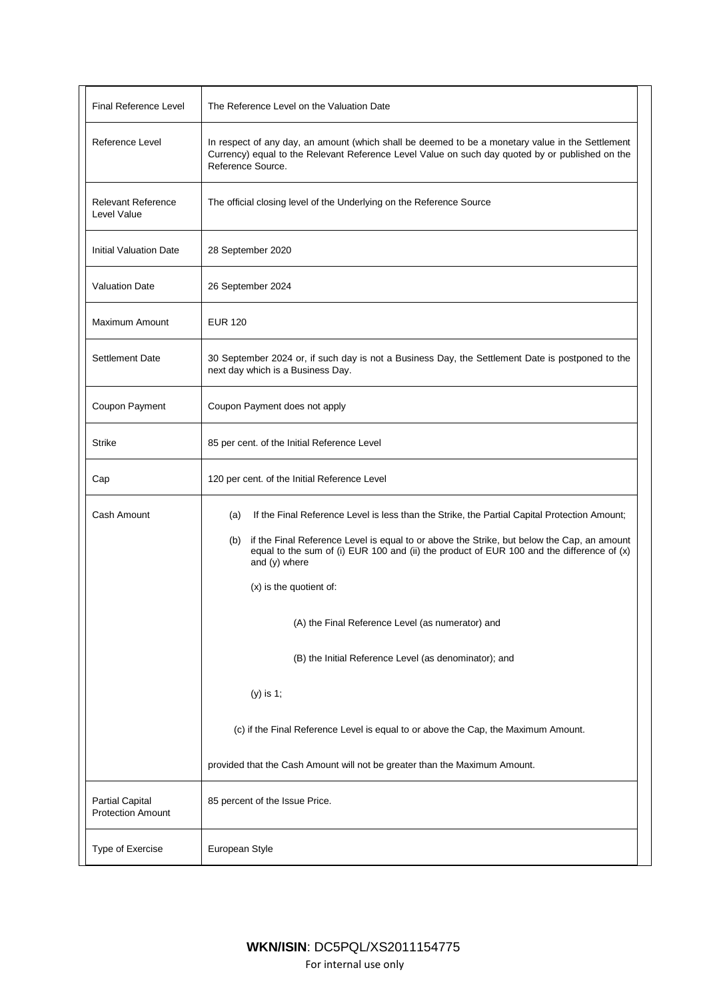| Final Reference Level                              | The Reference Level on the Valuation Date                                                                                                                                                                                                                                                                                                                                                                                                                                                                                                                                                                                                       |
|----------------------------------------------------|-------------------------------------------------------------------------------------------------------------------------------------------------------------------------------------------------------------------------------------------------------------------------------------------------------------------------------------------------------------------------------------------------------------------------------------------------------------------------------------------------------------------------------------------------------------------------------------------------------------------------------------------------|
| Reference Level                                    | In respect of any day, an amount (which shall be deemed to be a monetary value in the Settlement<br>Currency) equal to the Relevant Reference Level Value on such day quoted by or published on the<br>Reference Source.                                                                                                                                                                                                                                                                                                                                                                                                                        |
| <b>Relevant Reference</b><br>Level Value           | The official closing level of the Underlying on the Reference Source                                                                                                                                                                                                                                                                                                                                                                                                                                                                                                                                                                            |
| <b>Initial Valuation Date</b>                      | 28 September 2020                                                                                                                                                                                                                                                                                                                                                                                                                                                                                                                                                                                                                               |
| <b>Valuation Date</b>                              | 26 September 2024                                                                                                                                                                                                                                                                                                                                                                                                                                                                                                                                                                                                                               |
| Maximum Amount                                     | <b>EUR 120</b>                                                                                                                                                                                                                                                                                                                                                                                                                                                                                                                                                                                                                                  |
| <b>Settlement Date</b>                             | 30 September 2024 or, if such day is not a Business Day, the Settlement Date is postponed to the<br>next day which is a Business Day.                                                                                                                                                                                                                                                                                                                                                                                                                                                                                                           |
| Coupon Payment                                     | Coupon Payment does not apply                                                                                                                                                                                                                                                                                                                                                                                                                                                                                                                                                                                                                   |
| <b>Strike</b>                                      | 85 per cent. of the Initial Reference Level                                                                                                                                                                                                                                                                                                                                                                                                                                                                                                                                                                                                     |
| Cap                                                | 120 per cent. of the Initial Reference Level                                                                                                                                                                                                                                                                                                                                                                                                                                                                                                                                                                                                    |
| Cash Amount                                        | If the Final Reference Level is less than the Strike, the Partial Capital Protection Amount;<br>(a)<br>if the Final Reference Level is equal to or above the Strike, but below the Cap, an amount<br>(b)<br>equal to the sum of (i) EUR 100 and (ii) the product of EUR 100 and the difference of (x)<br>and (y) where<br>(x) is the quotient of:<br>(A) the Final Reference Level (as numerator) and<br>(B) the Initial Reference Level (as denominator); and<br>(y) is 1;<br>(c) if the Final Reference Level is equal to or above the Cap, the Maximum Amount.<br>provided that the Cash Amount will not be greater than the Maximum Amount. |
| <b>Partial Capital</b><br><b>Protection Amount</b> | 85 percent of the Issue Price.                                                                                                                                                                                                                                                                                                                                                                                                                                                                                                                                                                                                                  |
| Type of Exercise                                   | European Style                                                                                                                                                                                                                                                                                                                                                                                                                                                                                                                                                                                                                                  |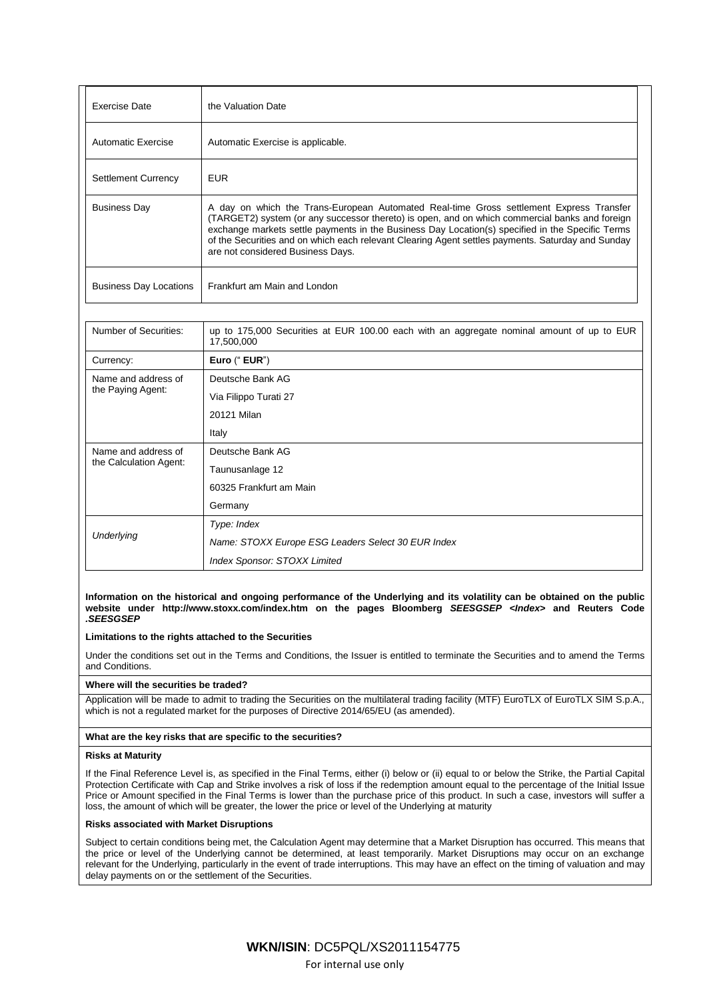| Exercise Date                 | the Valuation Date                                                                                                                                                                                                                                                                                                                                                                                                                      |  |
|-------------------------------|-----------------------------------------------------------------------------------------------------------------------------------------------------------------------------------------------------------------------------------------------------------------------------------------------------------------------------------------------------------------------------------------------------------------------------------------|--|
| Automatic Exercise            | Automatic Exercise is applicable.                                                                                                                                                                                                                                                                                                                                                                                                       |  |
| <b>Settlement Currency</b>    | <b>EUR</b>                                                                                                                                                                                                                                                                                                                                                                                                                              |  |
| <b>Business Day</b>           | A day on which the Trans-European Automated Real-time Gross settlement Express Transfer<br>(TARGET2) system (or any successor thereto) is open, and on which commercial banks and foreign<br>exchange markets settle payments in the Business Day Location(s) specified in the Specific Terms<br>of the Securities and on which each relevant Clearing Agent settles payments. Saturday and Sunday<br>are not considered Business Days. |  |
| <b>Business Day Locations</b> | Frankfurt am Main and London                                                                                                                                                                                                                                                                                                                                                                                                            |  |
|                               |                                                                                                                                                                                                                                                                                                                                                                                                                                         |  |

| Number of Securities:                         | up to 175,000 Securities at EUR 100.00 each with an aggregate nominal amount of up to EUR<br>17,500,000 |
|-----------------------------------------------|---------------------------------------------------------------------------------------------------------|
| Currency:                                     | Euro (" EUR")                                                                                           |
| Name and address of<br>the Paying Agent:      | Deutsche Bank AG                                                                                        |
|                                               | Via Filippo Turati 27                                                                                   |
|                                               | 20121 Milan                                                                                             |
|                                               | Italy                                                                                                   |
| Name and address of<br>the Calculation Agent: | Deutsche Bank AG                                                                                        |
|                                               | Taunusanlage 12                                                                                         |
|                                               | 60325 Frankfurt am Main                                                                                 |
|                                               | Germany                                                                                                 |
| Underlying                                    | Type: Index                                                                                             |
|                                               | Name: STOXX Europe ESG Leaders Select 30 EUR Index                                                      |
|                                               | <b>Index Sponsor: STOXX Limited</b>                                                                     |

### **Information on the historical and ongoing performance of the Underlying and its volatility can be obtained on the public website under http://www.stoxx.com/index.htm on the pages Bloomberg** *SEESGSEP <Index>* **and Reuters Code**  *.SEESGSEP*

## **Limitations to the rights attached to the Securities**

Under the conditions set out in the Terms and Conditions, the Issuer is entitled to terminate the Securities and to amend the Terms and Conditions.

## **Where will the securities be traded?**

Application will be made to admit to trading the Securities on the multilateral trading facility (MTF) EuroTLX of EuroTLX SIM S.p.A., which is not a regulated market for the purposes of Directive 2014/65/EU (as amended).

## **What are the key risks that are specific to the securities?**

#### **Risks at Maturity**

If the Final Reference Level is, as specified in the Final Terms, either (i) below or (ii) equal to or below the Strike, the Partial Capital Protection Certificate with Cap and Strike involves a risk of loss if the redemption amount equal to the percentage of the Initial Issue Price or Amount specified in the Final Terms is lower than the purchase price of this product. In such a case, investors will suffer a loss, the amount of which will be greater, the lower the price or level of the Underlying at maturity

### **Risks associated with Market Disruptions**

Subject to certain conditions being met, the Calculation Agent may determine that a Market Disruption has occurred. This means that the price or level of the Underlying cannot be determined, at least temporarily. Market Disruptions may occur on an exchange relevant for the Underlying, particularly in the event of trade interruptions. This may have an effect on the timing of valuation and may delay payments on or the settlement of the Securities.

> **WKN/ISIN**: DC5PQL/XS2011154775 For internal use only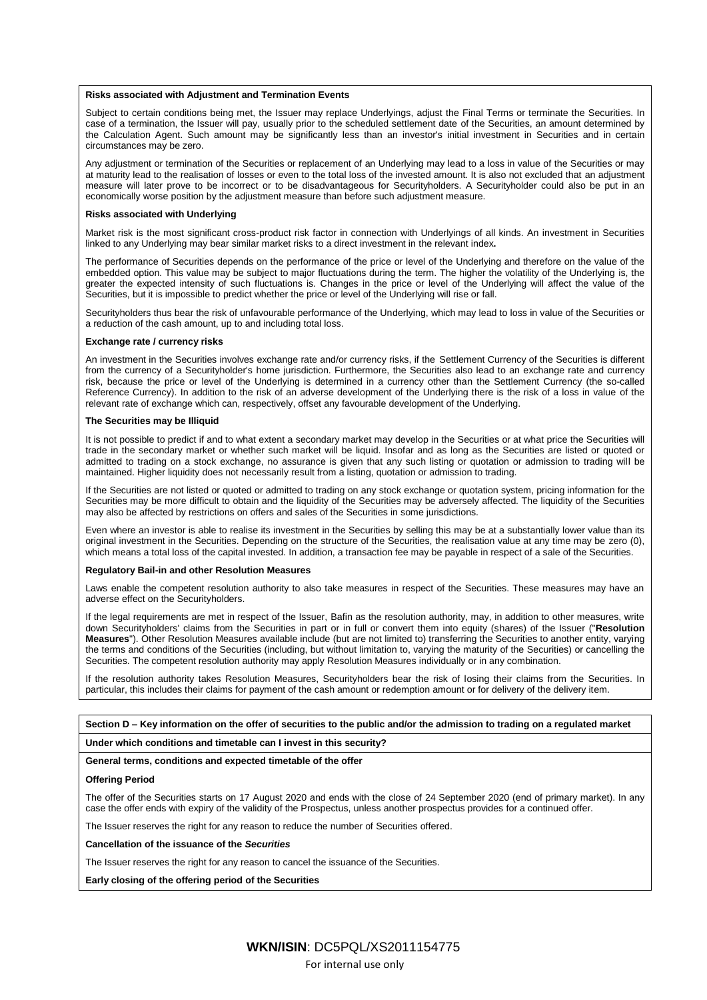#### **Risks associated with Adjustment and Termination Events**

Subject to certain conditions being met, the Issuer may replace Underlyings, adjust the Final Terms or terminate the Securities. In case of a termination, the Issuer will pay, usually prior to the scheduled settlement date of the Securities, an amount determined by the Calculation Agent. Such amount may be significantly less than an investor's initial investment in Securities and in certain circumstances may be zero.

Any adjustment or termination of the Securities or replacement of an Underlying may lead to a loss in value of the Securities or may at maturity lead to the realisation of losses or even to the total loss of the invested amount. It is also not excluded that an adjustment measure will later prove to be incorrect or to be disadvantageous for Securityholders. A Securityholder could also be put in an economically worse position by the adjustment measure than before such adjustment measure.

#### **Risks associated with Underlying**

Market risk is the most significant cross-product risk factor in connection with Underlyings of all kinds. An investment in Securities linked to any Underlying may bear similar market risks to a direct investment in the relevant index**.**

The performance of Securities depends on the performance of the price or level of the Underlying and therefore on the value of the embedded option. This value may be subject to major fluctuations during the term. The higher the volatility of the Underlying is, the greater the expected intensity of such fluctuations is. Changes in the price or level of the Underlying will affect the value of the Securities, but it is impossible to predict whether the price or level of the Underlying will rise or fall.

Securityholders thus bear the risk of unfavourable performance of the Underlying, which may lead to loss in value of the Securities or a reduction of the cash amount, up to and including total loss.

#### **Exchange rate / currency risks**

An investment in the Securities involves exchange rate and/or currency risks, if the Settlement Currency of the Securities is different from the currency of a Securityholder's home jurisdiction. Furthermore, the Securities also lead to an exchange rate and currency risk, because the price or level of the Underlying is determined in a currency other than the Settlement Currency (the so-called Reference Currency). In addition to the risk of an adverse development of the Underlying there is the risk of a loss in value of the relevant rate of exchange which can, respectively, offset any favourable development of the Underlying.

#### **The Securities may be Illiquid**

It is not possible to predict if and to what extent a secondary market may develop in the Securities or at what price the Securities will trade in the secondary market or whether such market will be liquid. Insofar and as long as the Securities are listed or quoted or admitted to trading on a stock exchange, no assurance is given that any such listing or quotation or admission to trading will be maintained. Higher liquidity does not necessarily result from a listing, quotation or admission to trading.

If the Securities are not listed or quoted or admitted to trading on any stock exchange or quotation system, pricing information for the Securities may be more difficult to obtain and the liquidity of the Securities may be adversely affected. The liquidity of the Securities may also be affected by restrictions on offers and sales of the Securities in some jurisdictions.

Even where an investor is able to realise its investment in the Securities by selling this may be at a substantially lower value than its original investment in the Securities. Depending on the structure of the Securities, the realisation value at any time may be zero (0), which means a total loss of the capital invested. In addition, a transaction fee may be payable in respect of a sale of the Securities.

#### **Regulatory Bail-in and other Resolution Measures**

Laws enable the competent resolution authority to also take measures in respect of the Securities. These measures may have an adverse effect on the Securityholders.

If the legal requirements are met in respect of the Issuer, Bafin as the resolution authority, may, in addition to other measures, write down Securityholders' claims from the Securities in part or in full or convert them into equity (shares) of the Issuer ("**Resolution Measures**"). Other Resolution Measures available include (but are not limited to) transferring the Securities to another entity, varying the terms and conditions of the Securities (including, but without limitation to, varying the maturity of the Securities) or cancelling the Securities. The competent resolution authority may apply Resolution Measures individually or in any combination.

If the resolution authority takes Resolution Measures, Securityholders bear the risk of losing their claims from the Securities. In particular, this includes their claims for payment of the cash amount or redemption amount or for delivery of the delivery item.

## **Section D – Key information on the offer of securities to the public and/or the admission to trading on a regulated market**

**Under which conditions and timetable can I invest in this security?**

#### **General terms, conditions and expected timetable of the offer**

#### **Offering Period**

The offer of the Securities starts on 17 August 2020 and ends with the close of 24 September 2020 (end of primary market). In any case the offer ends with expiry of the validity of the Prospectus, unless another prospectus provides for a continued offer.

The Issuer reserves the right for any reason to reduce the number of Securities offered.

**Cancellation of the issuance of the** *Securities*

The Issuer reserves the right for any reason to cancel the issuance of the Securities.

**Early closing of the offering period of the Securities**

For internal use only